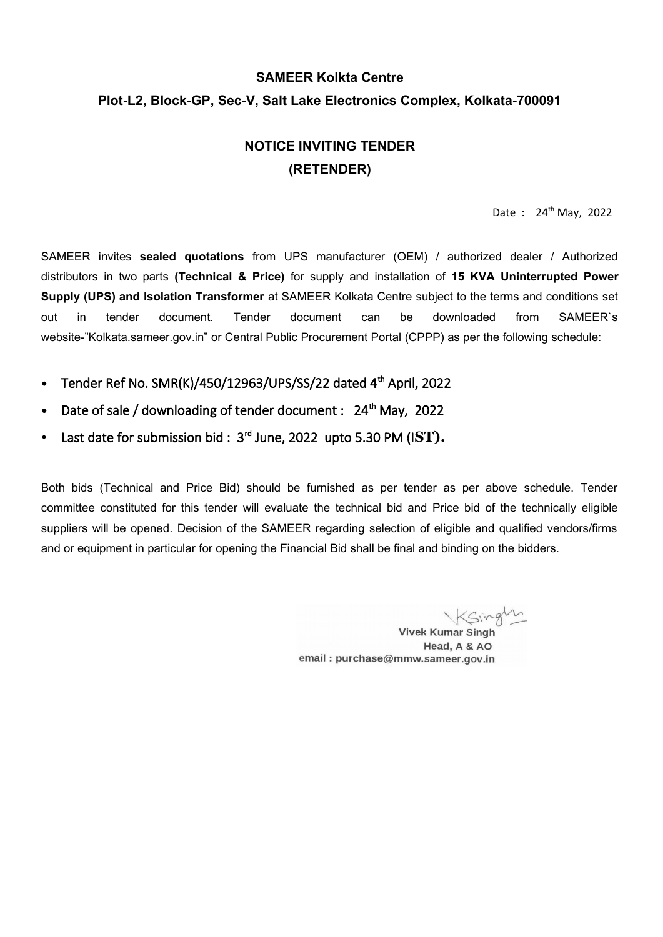# **SAMEER Kolkta Centre Plot-L2, Block-GP, Sec-V, Salt Lake Electronics Complex, Kolkata-700091**

# **NOTICE INVITING TENDER (RETENDER)**

Date : 24<sup>th</sup> May, 2022

SAMEER invites **sealed quotations** from UPS manufacturer (OEM) / authorized dealer / Authorized distributors in two parts **(Technical & Price)** for supply and installation of **15 KVA Uninterrupted Power Supply (UPS) and Isolation Transformer** at SAMEER Kolkata Centre subject to the terms and conditions set out in tender document. Tender document can be downloaded from SAMEER`s website-"Kolkata.sameer.gov.in" or Central Public Procurement Portal (CPPP) as per the following schedule:

- **•** Tender Ref No. SMR(K)/450/12963/UPS/SS/22 dated 4th April, 2022
- Date of sale / downloading of tender document : 24<sup>th</sup> May, 2022
- Last date for submission bid : 3<sup>rd</sup> June, 2022 upto 5.30 PM (IST).

Both bids (Technical and Price Bid) should be furnished as per tender as per above schedule. Tender committee constituted for this tender will evaluate the technical bid and Price bid of the technically eligible suppliers will be opened. Decision of the SAMEER regarding selection of eligible and qualified vendors/firms and or equipment in particular for opening the Financial Bid shall be final and binding on the bidders.

Ksingli

**Vivek Kumar Singh** Head, A & AO email: purchase@mmw.sameer.gov.in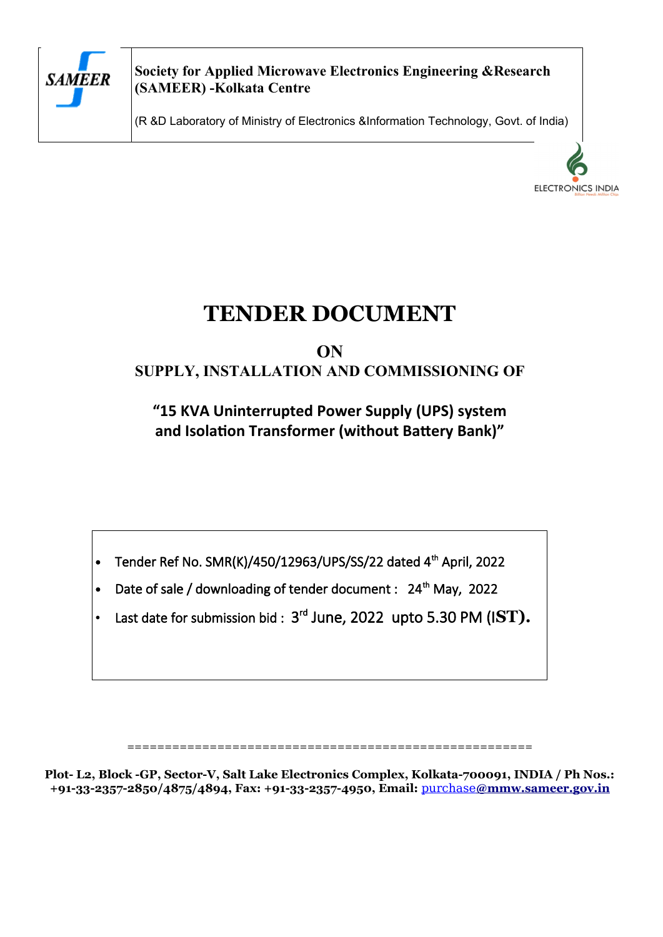

**Society for Applied Microwave Electronics Engineering &Research (SAMEER) -Kolkata Centre**

(R &D Laboratory of Ministry of Electronics &Information Technology, Govt. of India)



# **TENDER DOCUMENT**

# **ON SUPPLY, INSTALLATION AND COMMISSIONING OF**

**"15 KVA Uninterrupted Power Supply (UPS) system and Isolation Transformer (without Battery Bank)"**

**•** Tender Ref No. SMR(K)/450/12963/UPS/SS/22 dated 4th April, 2022

- Date of sale / downloading of tender document : 24<sup>th</sup> May, 2022
- Last date for submission bid :  $3<sup>rd</sup>$  June, 2022 upto 5.30 PM (IST).

======================================================

**Plot- L2, Block -GP, Sector-V, Salt Lake Electronics Complex, Kolkata-700091, INDIA / Ph Nos.: +91-33-2357-2850/4875/4894, Fax: +91-33-2357-4950, Email:** [purchase](mailto:purchase@mmw.sameer.gov.in) **[@mmw.sameer.gov.in](mailto:purchase@mmw.sameer.gov.in)**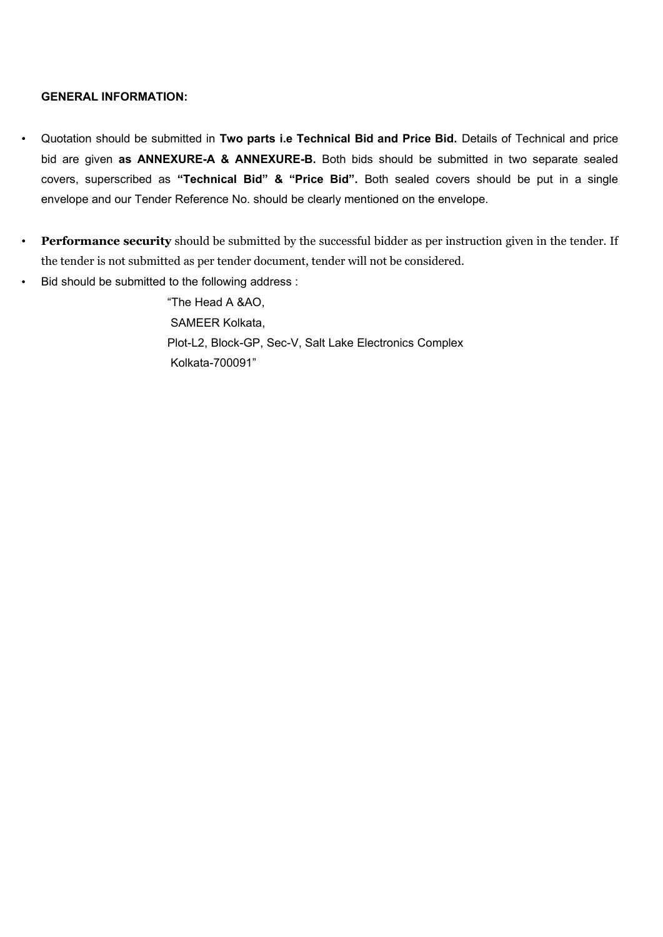### **GENERAL INFORMATION:**

- Quotation should be submitted in **Two parts i.e Technical Bid and Price Bid.** Details of Technical and price bid are given **as ANNEXURE-A & ANNEXURE-B.** Both bids should be submitted in two separate sealed covers, superscribed as **"Technical Bid" & "Price Bid".** Both sealed covers should be put in a single envelope and our Tender Reference No. should be clearly mentioned on the envelope.
- **Performance security** should be submitted by the successful bidder as per instruction given in the tender. If the tender is not submitted as per tender document, tender will not be considered.
- Bid should be submitted to the following address :

"The Head A &AO, SAMEER Kolkata, Plot-L2, Block-GP, Sec-V, Salt Lake Electronics Complex Kolkata-700091"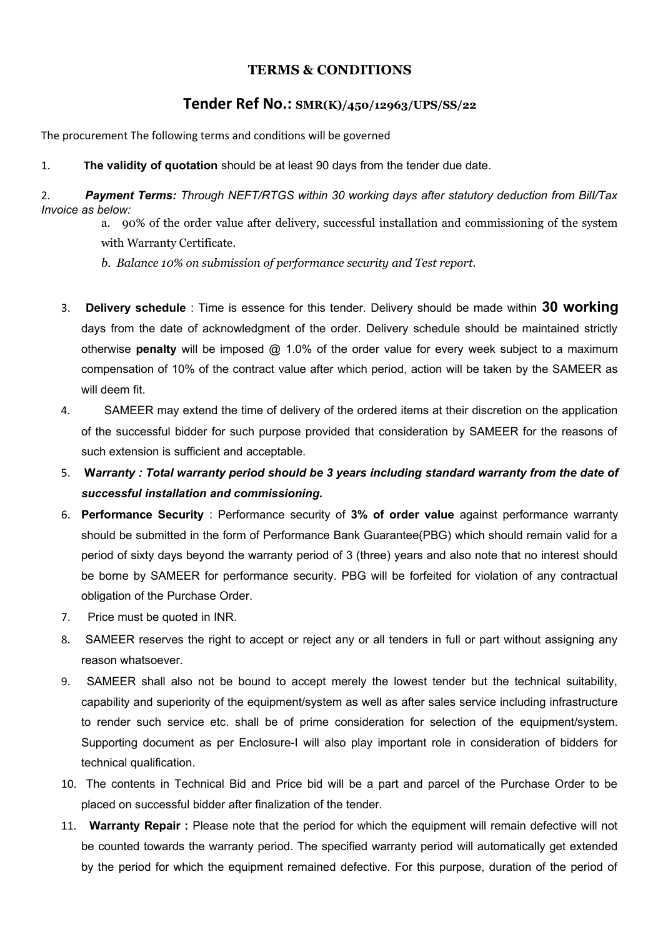### **TERMS & CONDITIONS**

### **Tender Ref No.: SMR(K)/450/12963/UPS/SS/22**

The procurement The following terms and conditions will be governed

1. **The validity of quotation** should be at least 90 days from the tender due date.

2. *Payment Terms: Through NEFT/RTGS within 30 working days after statutory deduction from BilI/Tax Invoice as below:*

- a. 90% of the order value after delivery, successful installation and commissioning of the system with Warranty Certificate.
- *b. Balance 10% on submission of performance security and Test report.*
- 3. **Delivery schedule** : Time is essence for this tender. Delivery should be made within **30 working** days from the date of acknowledgment of the order. Delivery schedule should be maintained strictly otherwise **penalty** will be imposed @ 1.0% of the order value for every week subject to a maximum compensation of 10% of the contract value after which period, action will be taken by the SAMEER as will deem fit.
- 4. SAMEER may extend the time of delivery of the ordered items at their discretion on the application of the successful bidder for such purpose provided that consideration by SAMEER for the reasons of such extension is sufficient and acceptable.
- 5. **W***arranty : Total warranty period should be 3 years including standard warranty from the date of successful installation and commissioning.*
- 6. **Performance Security** : Performance security of **3% of order value** against performance warranty should be submitted in the form of Performance Bank Guarantee(PBG) which should remain valid for a period of sixty days beyond the warranty period of 3 (three) years and also note that no interest should be borne by SAMEER for performance security. PBG will be forfeited for violation of any contractual obligation of the Purchase Order.
- 7. Price must be quoted in INR.
- 8. SAMEER reserves the right to accept or reject any or all tenders in full or part without assigning any reason whatsoever.
- 9. SAMEER shall also not be bound to accept merely the lowest tender but the technical suitability, capability and superiority of the equipment/system as well as after sales service including infrastructure to render such service etc. shall be of prime consideration for selection of the equipment/system. Supporting document as per Enclosure-I will also play important role in consideration of bidders for technical qualification.
- 10. The contents in Technical Bid and Price bid will be a part and parcel of the Purchase Order to be placed on successful bidder after finalization of the tender.
- 11. **Warranty Repair :** Please note that the period for which the equipment will remain defective will not be counted towards the warranty period. The specified warranty period will automatically get extended by the period for which the equipment remained defective. For this purpose, duration of the period of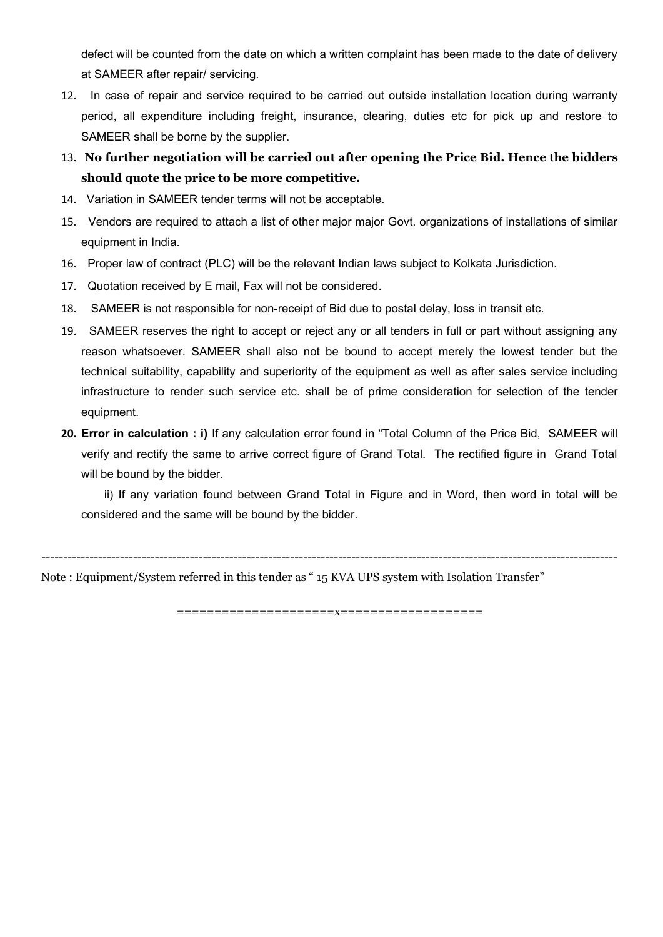defect will be counted from the date on which a written complaint has been made to the date of delivery at SAMEER after repair/ servicing.

- 12. In case of repair and service required to be carried out outside installation location during warranty period, all expenditure including freight, insurance, clearing, duties etc for pick up and restore to SAMEER shall be borne by the supplier.
- 13. **No further negotiation will be carried out after opening the Price Bid. Hence the bidders should quote the price to be more competitive.**
- 14. Variation in SAMEER tender terms will not be acceptable.
- 15. Vendors are required to attach a list of other major major Govt. organizations of installations of similar equipment in India.
- 16. Proper law of contract (PLC) will be the relevant Indian laws subject to Kolkata Jurisdiction.
- 17. Quotation received by E mail, Fax will not be considered.
- 18. SAMEER is not responsible for non-receipt of Bid due to postal delay, loss in transit etc.
- 19. SAMEER reserves the right to accept or reject any or all tenders in full or part without assigning any reason whatsoever. SAMEER shall also not be bound to accept merely the lowest tender but the technical suitability, capability and superiority of the equipment as well as after sales service including infrastructure to render such service etc. shall be of prime consideration for selection of the tender equipment.
- **20. Error in calculation : i)** If any calculation error found in "Total Column of the Price Bid, SAMEER will verify and rectify the same to arrive correct figure of Grand Total. The rectified figure in Grand Total will be bound by the bidder.

ii) If any variation found between Grand Total in Figure and in Word, then word in total will be considered and the same will be bound by the bidder.

------------------------------------------------------------------------------------------------------------------------------------

Note : Equipment/System referred in this tender as " 15 KVA UPS system with Isolation Transfer"

=====================x===================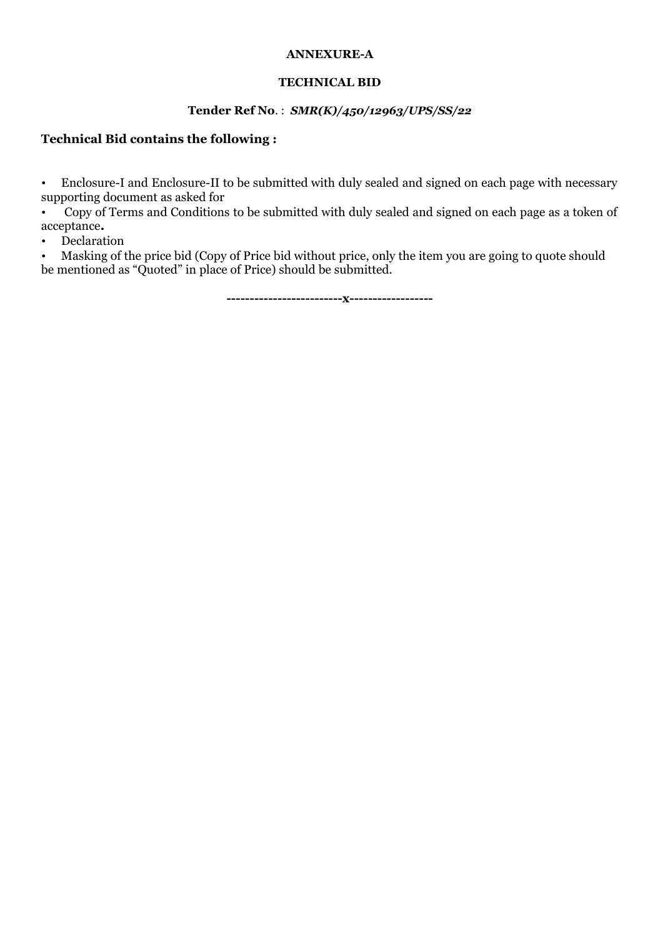### **ANNEXURE-A**

### **TECHNICAL BID**

### **Tender Ref No**. : *SMR(K)/450/12963/UPS/SS/22*

### **Technical Bid contains the following :**

• Enclosure-I and Enclosure-II to be submitted with duly sealed and signed on each page with necessary supporting document as asked for

• Copy of Terms and Conditions to be submitted with duly sealed and signed on each page as a token of acceptance**.**

• Declaration

• Masking of the price bid (Copy of Price bid without price, only the item you are going to quote should be mentioned as "Quoted" in place of Price) should be submitted.

**-------------------------x------------------**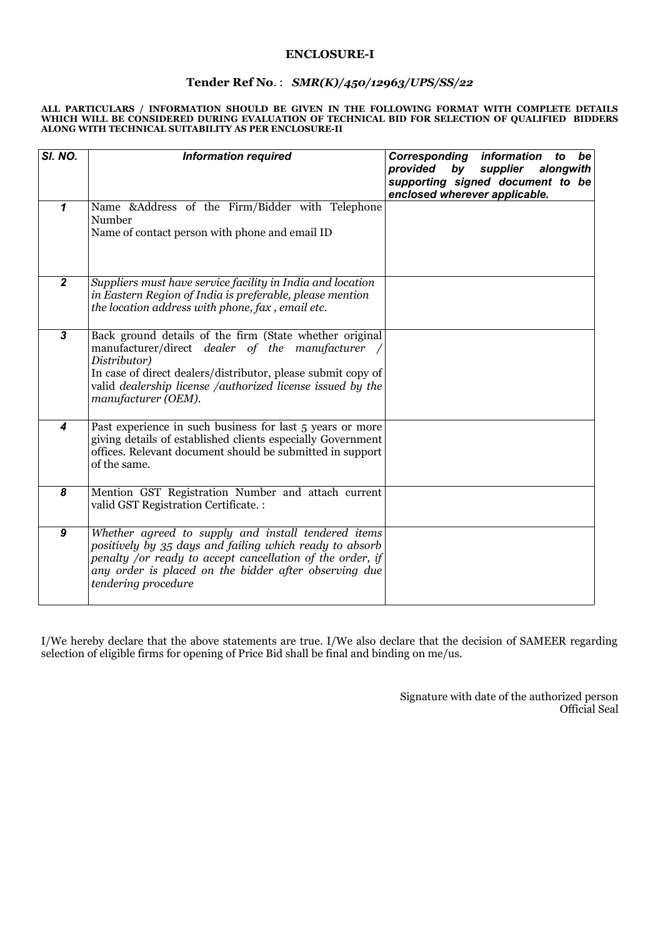#### **ENCLOSURE-I**

### **Tender Ref No**. : *SMR(K)/450/12963/UPS/SS/22*

#### **ALL PARTICULARS / INFORMATION SHOULD BE GIVEN IN THE FOLLOWING FORMAT WITH COMPLETE DETAILS WHICH WILL BE CONSIDERED DURING EVALUATION OF TECHNICAL BID FOR SELECTION OF QUALIFIED BIDDERS ALONG WITH TECHNICAL SUITABILITY AS PER ENCLOSURE-II**

| SI. NO.                 | <b>Information required</b>                                                                                                                                                                                                                                                      | Corresponding<br>information<br>be<br>to<br>provided<br>alongwith<br>by<br>supplier<br>supporting signed document to be |
|-------------------------|----------------------------------------------------------------------------------------------------------------------------------------------------------------------------------------------------------------------------------------------------------------------------------|-------------------------------------------------------------------------------------------------------------------------|
| $\mathbf{1}$            | Name &Address of the Firm/Bidder with Telephone<br>Number<br>Name of contact person with phone and email ID                                                                                                                                                                      | enclosed wherever applicable.                                                                                           |
| $\boldsymbol{2}$        | Suppliers must have service facility in India and location<br>in Eastern Region of India is preferable, please mention<br>the location address with phone, fax, email etc.                                                                                                       |                                                                                                                         |
| $\overline{\mathbf{3}}$ | Back ground details of the firm (State whether original<br>manufacturer/direct dealer of the manufacturer /<br>Distributor)<br>In case of direct dealers/distributor, please submit copy of<br>valid dealership license /authorized license issued by the<br>manufacturer (OEM). |                                                                                                                         |
| 4                       | Past experience in such business for last 5 years or more<br>giving details of established clients especially Government<br>offices. Relevant document should be submitted in support<br>of the same.                                                                            |                                                                                                                         |
| 8                       | Mention GST Registration Number and attach current<br>valid GST Registration Certificate. :                                                                                                                                                                                      |                                                                                                                         |
| $\boldsymbol{9}$        | Whether agreed to supply and install tendered items<br>positively by 35 days and failing which ready to absorb<br>penalty /or ready to accept cancellation of the order, if<br>any order is placed on the bidder after observing due<br>tendering procedure                      |                                                                                                                         |

I/We hereby declare that the above statements are true. I/We also declare that the decision of SAMEER regarding selection of eligible firms for opening of Price Bid shall be final and binding on me/us.

> Signature with date of the authorized person Official Seal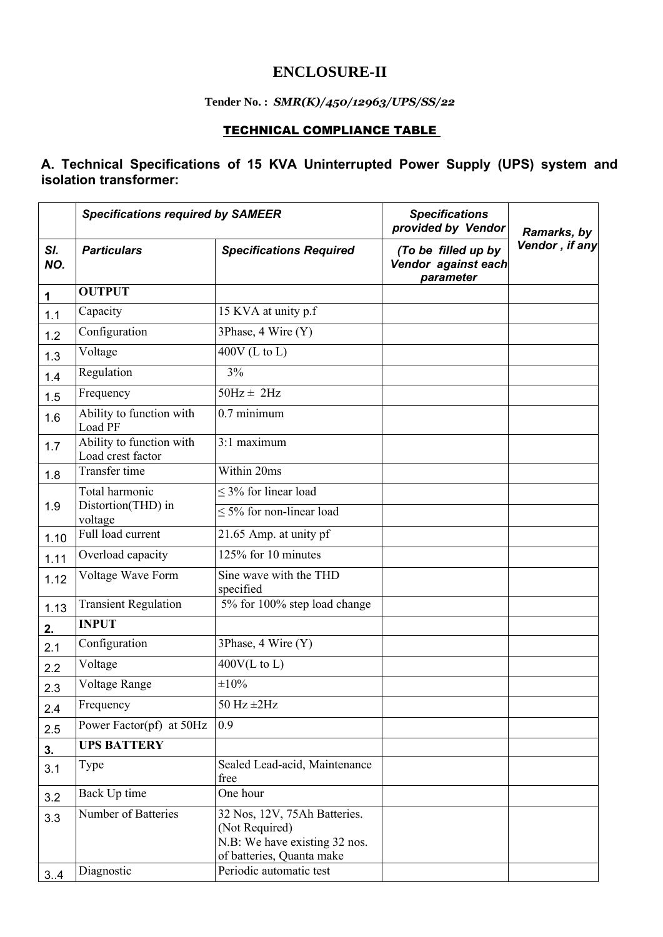### **ENCLOSURE-II**

### **Tender No. :** *SMR(K)/450/12963/UPS/SS/22*

### TECHNICAL COMPLIANCE TABLE

### **A. Technical Specifications of 15 KVA Uninterrupted Power Supply (UPS) system and isolation transformer:**

|            | <b>Specifications required by SAMEER</b>        |                                                                                                              | <b>Specifications</b><br>provided by Vendor             | Ramarks, by    |
|------------|-------------------------------------------------|--------------------------------------------------------------------------------------------------------------|---------------------------------------------------------|----------------|
| SI.<br>NO. | <b>Particulars</b>                              | <b>Specifications Required</b>                                                                               | (To be filled up by<br>Vendor against each<br>parameter | Vendor, if any |
| 1          | <b>OUTPUT</b>                                   |                                                                                                              |                                                         |                |
| 1.1        | Capacity                                        | 15 KVA at unity p.f                                                                                          |                                                         |                |
| 1.2        | Configuration                                   | 3Phase, 4 Wire (Y)                                                                                           |                                                         |                |
| 1.3        | Voltage                                         | $400V$ (L to L)                                                                                              |                                                         |                |
| 1.4        | Regulation                                      | 3%                                                                                                           |                                                         |                |
| 1.5        | Frequency                                       | $50Hz \pm 2Hz$                                                                                               |                                                         |                |
| 1.6        | Ability to function with<br>Load PF             | $0.7$ minimum                                                                                                |                                                         |                |
| 1.7        | Ability to function with<br>Load crest factor   | 3:1 maximum                                                                                                  |                                                         |                |
| 1.8        | Transfer time                                   | Within 20ms                                                                                                  |                                                         |                |
| 1.9        | Total harmonic<br>Distortion(THD) in<br>voltage | $\leq$ 3% for linear load                                                                                    |                                                         |                |
|            |                                                 | $\leq$ 5% for non-linear load                                                                                |                                                         |                |
| 1.10       | Full load current                               | 21.65 Amp. at unity pf                                                                                       |                                                         |                |
| 1.11       | Overload capacity                               | $12\overline{5\%}$ for 10 minutes                                                                            |                                                         |                |
| 1.12       | Voltage Wave Form                               | Sine wave with the THD<br>specified                                                                          |                                                         |                |
| 1.13       | <b>Transient Regulation</b>                     | 5% for 100% step load change                                                                                 |                                                         |                |
| 2.         | <b>INPUT</b>                                    |                                                                                                              |                                                         |                |
| 2.1        | Configuration                                   | 3Phase, 4 Wire (Y)                                                                                           |                                                         |                |
| 2.2        | Voltage                                         | $400V(L \text{ to } L)$                                                                                      |                                                         |                |
| 2.3        | Voltage Range                                   | $\pm 10\%$                                                                                                   |                                                         |                |
| 2.4        | Frequency                                       | $50$ Hz $\pm 2$ Hz                                                                                           |                                                         |                |
| 2.5        | Power Factor(pf) at 50Hz                        | 0.9                                                                                                          |                                                         |                |
| 3.         | <b>UPS BATTERY</b>                              |                                                                                                              |                                                         |                |
| 3.1        | Type                                            | Sealed Lead-acid, Maintenance<br>free                                                                        |                                                         |                |
| 3.2        | Back Up time                                    | One hour                                                                                                     |                                                         |                |
| 3.3        | Number of Batteries                             | 32 Nos, 12V, 75Ah Batteries.<br>(Not Required)<br>N.B: We have existing 32 nos.<br>of batteries, Quanta make |                                                         |                |
| 3.4        | Diagnostic                                      | Periodic automatic test                                                                                      |                                                         |                |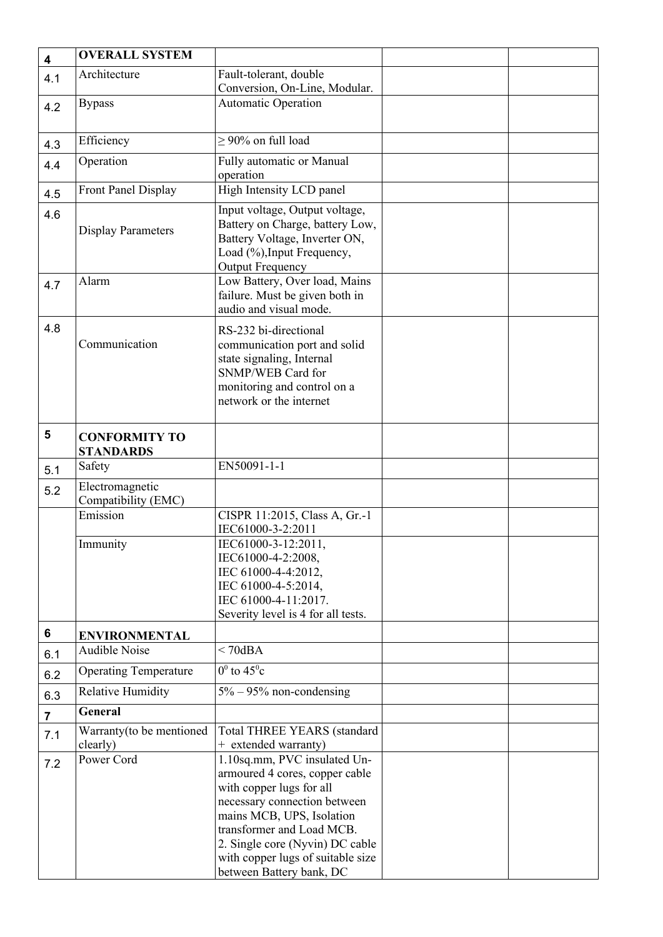| 4              | <b>OVERALL SYSTEM</b>                    |                                                                                                                                                                                                                                                                                          |  |
|----------------|------------------------------------------|------------------------------------------------------------------------------------------------------------------------------------------------------------------------------------------------------------------------------------------------------------------------------------------|--|
| 4.1            | Architecture                             | Fault-tolerant, double                                                                                                                                                                                                                                                                   |  |
|                |                                          | Conversion, On-Line, Modular.                                                                                                                                                                                                                                                            |  |
| 4.2            | <b>Bypass</b>                            | <b>Automatic Operation</b>                                                                                                                                                                                                                                                               |  |
|                |                                          |                                                                                                                                                                                                                                                                                          |  |
| 4.3            | Efficiency                               | $\geq$ 90% on full load                                                                                                                                                                                                                                                                  |  |
| 4.4            | Operation                                | Fully automatic or Manual<br>operation                                                                                                                                                                                                                                                   |  |
| 4.5            | <b>Front Panel Display</b>               | High Intensity LCD panel                                                                                                                                                                                                                                                                 |  |
| 4.6            | <b>Display Parameters</b>                | Input voltage, Output voltage,<br>Battery on Charge, battery Low,<br>Battery Voltage, Inverter ON,<br>Load (%), Input Frequency,<br><b>Output Frequency</b>                                                                                                                              |  |
| 4.7            | Alarm                                    | Low Battery, Over load, Mains<br>failure. Must be given both in<br>audio and visual mode.                                                                                                                                                                                                |  |
| 4.8            | Communication                            | RS-232 bi-directional<br>communication port and solid<br>state signaling, Internal<br>SNMP/WEB Card for<br>monitoring and control on a<br>network or the internet                                                                                                                        |  |
| 5              | <b>CONFORMITY TO</b><br><b>STANDARDS</b> |                                                                                                                                                                                                                                                                                          |  |
| 5.1            | Safety                                   | EN50091-1-1                                                                                                                                                                                                                                                                              |  |
| 5.2            | Electromagnetic<br>Compatibility (EMC)   |                                                                                                                                                                                                                                                                                          |  |
|                | Emission                                 | CISPR 11:2015, Class A, Gr.-1<br>IEC61000-3-2:2011                                                                                                                                                                                                                                       |  |
|                | Immunity                                 | IEC61000-3-12:2011,<br>IEC61000-4-2:2008,<br>IEC 61000-4-4:2012,<br>IEC 61000-4-5:2014,<br>IEC 61000-4-11:2017.<br>Severity level is 4 for all tests.                                                                                                                                    |  |
| 6              | <b>ENVIRONMENTAL</b>                     |                                                                                                                                                                                                                                                                                          |  |
| 6.1            | <b>Audible Noise</b>                     | $< 70$ dBA                                                                                                                                                                                                                                                                               |  |
| 6.2            | <b>Operating Temperature</b>             | $0^0$ to $45^0$ c                                                                                                                                                                                                                                                                        |  |
| 6.3            | <b>Relative Humidity</b>                 | $5\% - 95\%$ non-condensing                                                                                                                                                                                                                                                              |  |
| $\overline{7}$ | <b>General</b>                           |                                                                                                                                                                                                                                                                                          |  |
| 7.1            | Warranty (to be mentioned<br>clearly)    | Total THREE YEARS (standard<br>+ extended warranty)                                                                                                                                                                                                                                      |  |
| 7.2            | Power Cord                               | 1.10sq.mm, PVC insulated Un-<br>armoured 4 cores, copper cable<br>with copper lugs for all<br>necessary connection between<br>mains MCB, UPS, Isolation<br>transformer and Load MCB.<br>2. Single core (Nyvin) DC cable<br>with copper lugs of suitable size<br>between Battery bank, DC |  |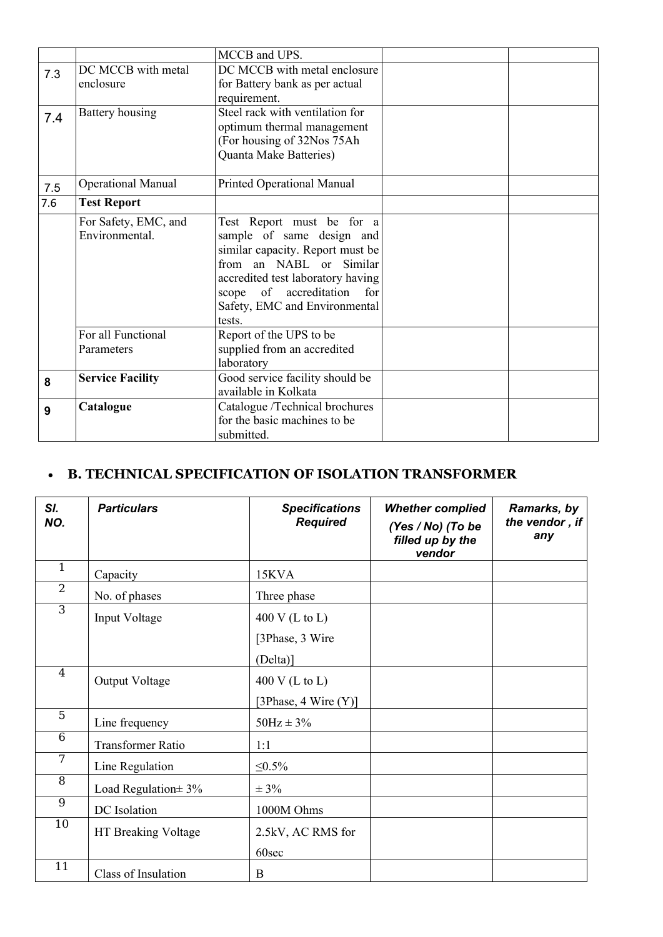|       |                           | MCCB and UPS.                     |  |
|-------|---------------------------|-----------------------------------|--|
| 7.3   | DC MCCB with metal        | DC MCCB with metal enclosure      |  |
|       | enclosure                 | for Battery bank as per actual    |  |
|       |                           | requirement.                      |  |
| 7.4   | Battery housing           | Steel rack with ventilation for   |  |
|       |                           | optimum thermal management        |  |
|       |                           | (For housing of 32Nos 75Ah        |  |
|       |                           | Quanta Make Batteries)            |  |
|       |                           |                                   |  |
| 7.5   | <b>Operational Manual</b> | Printed Operational Manual        |  |
| 7.6   | <b>Test Report</b>        |                                   |  |
|       | For Safety, EMC, and      | Test Report must be for a         |  |
|       | Environmental.            | sample of same design and         |  |
|       |                           | similar capacity. Report must be  |  |
|       |                           | from an NABL or Similar           |  |
|       |                           | accredited test laboratory having |  |
| scope |                           | of accreditation<br>for           |  |
|       |                           | Safety, EMC and Environmental     |  |
|       |                           | tests.                            |  |
|       | For all Functional        | Report of the UPS to be           |  |
|       | Parameters                | supplied from an accredited       |  |
|       |                           | laboratory                        |  |
| 8     | <b>Service Facility</b>   | Good service facility should be   |  |
|       |                           | available in Kolkata              |  |
| 9     | Catalogue                 | Catalogue /Technical brochures    |  |
|       |                           | for the basic machines to be      |  |
|       |                           | submitted.                        |  |

## **• B. TECHNICAL SPECIFICATION OF ISOLATION TRANSFORMER**

| SI.<br>NO.     | <b>Particulars</b>       | <b>Specifications</b><br><b>Required</b> | <b>Whether complied</b><br>(Yes / No) (To be<br>filled up by the<br>vendor | Ramarks, by<br>the vendor, if<br>any |
|----------------|--------------------------|------------------------------------------|----------------------------------------------------------------------------|--------------------------------------|
| $\mathbf{1}$   | Capacity                 | 15KVA                                    |                                                                            |                                      |
| $\overline{2}$ | No. of phases            | Three phase                              |                                                                            |                                      |
| $\overline{3}$ | Input Voltage            | $400$ V (L to L)                         |                                                                            |                                      |
|                |                          | [3Phase, 3 Wire                          |                                                                            |                                      |
|                |                          | (Delta)]                                 |                                                                            |                                      |
| $\overline{4}$ | Output Voltage           | 400 V (L to L)                           |                                                                            |                                      |
|                |                          | [3Phase, 4 Wire $(Y)$ ]                  |                                                                            |                                      |
| $\overline{5}$ | Line frequency           | $50Hz \pm 3\%$                           |                                                                            |                                      |
| 6              | <b>Transformer Ratio</b> | 1:1                                      |                                                                            |                                      |
| 7              | Line Regulation          | $\leq 0.5\%$                             |                                                                            |                                      |
| 8              | Load Regulation $\pm$ 3% | $\pm$ 3%                                 |                                                                            |                                      |
| $\overline{9}$ | DC Isolation             | 1000M Ohms                               |                                                                            |                                      |
| 10             | HT Breaking Voltage      | 2.5kV, AC RMS for                        |                                                                            |                                      |
|                |                          | 60sec                                    |                                                                            |                                      |
| 11             | Class of Insulation      | B                                        |                                                                            |                                      |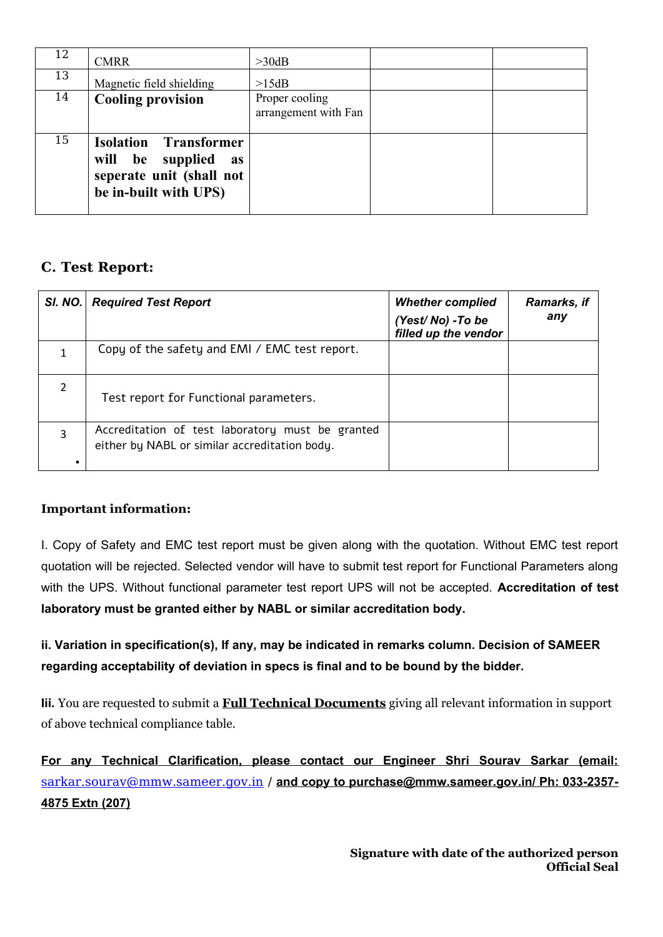| 12 | <b>CMRR</b>                                                                                                 | >30dB                                  |  |
|----|-------------------------------------------------------------------------------------------------------------|----------------------------------------|--|
| 13 | Magnetic field shielding                                                                                    | >15dB                                  |  |
| 14 | <b>Cooling provision</b>                                                                                    | Proper cooling<br>arrangement with Fan |  |
| 15 | <b>Isolation Transformer</b><br>will be supplied<br>as<br>seperate unit (shall not<br>be in-built with UPS) |                                        |  |

### **C. Test Report:**

| SI. NO.        | <b>Required Test Report</b>                                                                       | <b>Whether complied</b><br>(Yest/No) - To be<br>filled up the vendor | Ramarks, if<br>any |
|----------------|---------------------------------------------------------------------------------------------------|----------------------------------------------------------------------|--------------------|
|                | Copy of the safety and EMI / EMC test report.                                                     |                                                                      |                    |
| $\overline{2}$ | Test report for Functional parameters.                                                            |                                                                      |                    |
| 3              | Accreditation of test laboratory must be granted<br>either by NABL or similar accreditation body. |                                                                      |                    |

### **Important information:**

I. Copy of Safety and EMC test report must be given along with the quotation. Without EMC test report quotation will be rejected. Selected vendor will have to submit test report for Functional Parameters along with the UPS. Without functional parameter test report UPS will not be accepted. **Accreditation of test laboratory must be granted either by NABL or similar accreditation body.**

**ii. Variation in specification(s), If any, may be indicated in remarks column. Decision of SAMEER regarding acceptability of deviation in specs is final and to be bound by the bidder.** 

**Iii.** You are requested to submit a **Full Technical Documents** giving all relevant information in support of above technical compliance table.

**For any Technical Clarification, please contact our Engineer Shri Sourav Sarkar (email:** [sarkar.sourav@mmw.sameer.gov.in](mailto:sarkar.sourav@mmw.sameer.gov.in) / **and copy to purchase@mmw.sameer.gov.in/ Ph: 033-2357- 4875 Extn (207)**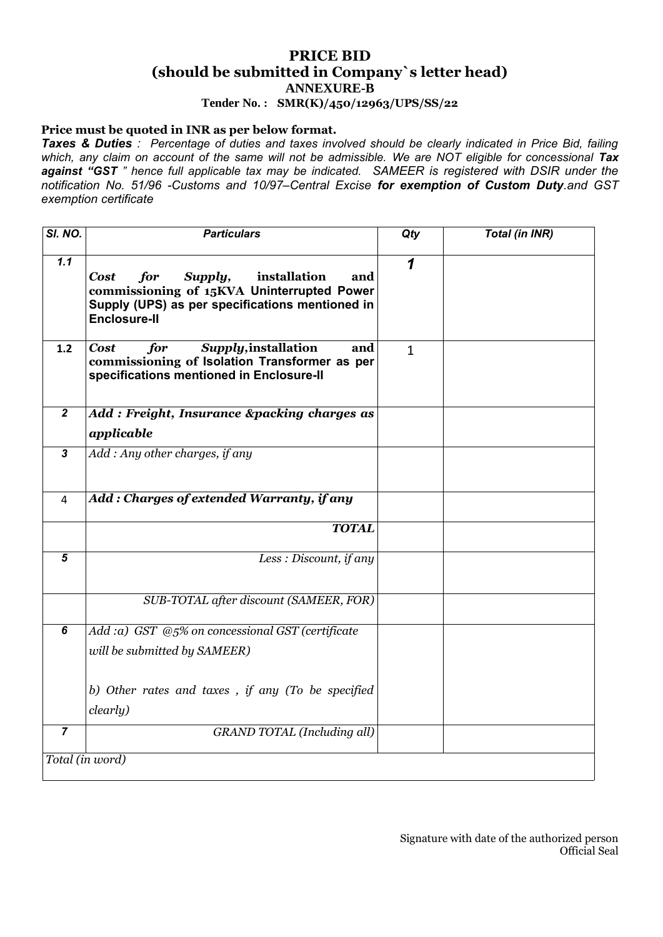### **PRICE BID (should be submitted in Company`s letter head) ANNEXURE-B**

**Tender No. : SMR(K)/450/12963/UPS/SS/22**

### **Price must be quoted in INR as per below format.**

*Taxes & Duties : Percentage of duties and taxes involved should be clearly indicated in Price Bid, failing* which, any claim on account of the same will not be admissible. We are NOT eligible for concessional Tax *against "GST " hence full applicable tax may be indicated. SAMEER is registered with DSIR under the notification No. 51/96 -Customs and 10/97–Central Excise for exemption of Custom Duty.and GST exemption certificate*

| SI. NO.          | <b>Particulars</b>                                                                                                                                                           | Qty          | <b>Total (in INR)</b> |
|------------------|------------------------------------------------------------------------------------------------------------------------------------------------------------------------------|--------------|-----------------------|
| 1.1              | for<br>Supply,<br>installation<br><b>Cost</b><br>and<br>commissioning of 15KVA Uninterrupted Power<br>Supply (UPS) as per specifications mentioned in<br><b>Enclosure-II</b> | 1            |                       |
| 1.2              | Supply, installation<br>for<br><b>Cost</b><br>and<br>commissioning of Isolation Transformer as per<br>specifications mentioned in Enclosure-II                               | $\mathbf{1}$ |                       |
| $\boldsymbol{2}$ | Add: Freight, Insurance &packing charges as<br>applicable                                                                                                                    |              |                       |
| $\mathbf{3}$     | Add: Any other charges, if any                                                                                                                                               |              |                       |
| 4                | Add: Charges of extended Warranty, if any                                                                                                                                    |              |                       |
|                  | <b>TOTAL</b>                                                                                                                                                                 |              |                       |
| $5\phantom{.0}$  | Less : Discount, if any                                                                                                                                                      |              |                       |
|                  | SUB-TOTAL after discount (SAMEER, FOR)                                                                                                                                       |              |                       |
| 6                | Add :a) GST @5% on concessional GST (certificate<br>will be submitted by SAMEER)                                                                                             |              |                       |
|                  | b) Other rates and taxes, if any (To be specified<br>clearly)                                                                                                                |              |                       |
| $\overline{7}$   | <b>GRAND TOTAL (Including all)</b>                                                                                                                                           |              |                       |
|                  | Total (in word)                                                                                                                                                              |              |                       |